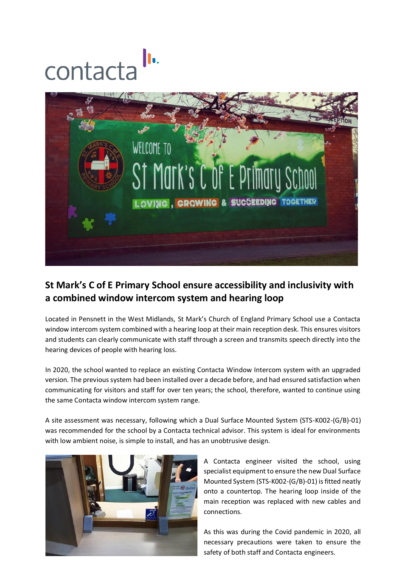## contacta



## **St Mark's C of E Primary School ensure accessibility and inclusivity with a combined window intercom system and hearing loop**

Located in Pensnett in the West Midlands, St Mark's Church of England Primary School use a Contacta window intercom system combined with a hearing loop at their main reception desk. This ensures visitors and students can clearly communicate with staff through a screen and transmits speech directly into the hearing devices of people with hearing loss.

In 2020, the school wanted to replace an existing Contacta Window Intercom system with an upgraded version. The previous system had been installed over a decade before, and had ensured satisfaction when communicating for visitors and staff for over ten years; the school, therefore, wanted to continue using the same Contacta window intercom system range.

A site assessment was necessary, following which a Dual Surface Mounted System (STS-K002-(G/B)-01) was recommended for the school by a Contacta technical advisor. This system is ideal for environments with low ambient noise, is simple to install, and has an unobtrusive design.



A Contacta engineer visited the school, using specialist equipment to ensure the new Dual Surface Mounted System (STS-K002-(G/B)-01) is fitted neatly onto a countertop. The hearing loop inside of the main reception was replaced with new cables and connections.

As this was during the Covid pandemic in 2020, all necessary precautions were taken to ensure the safety of both staff and Contacta engineers.